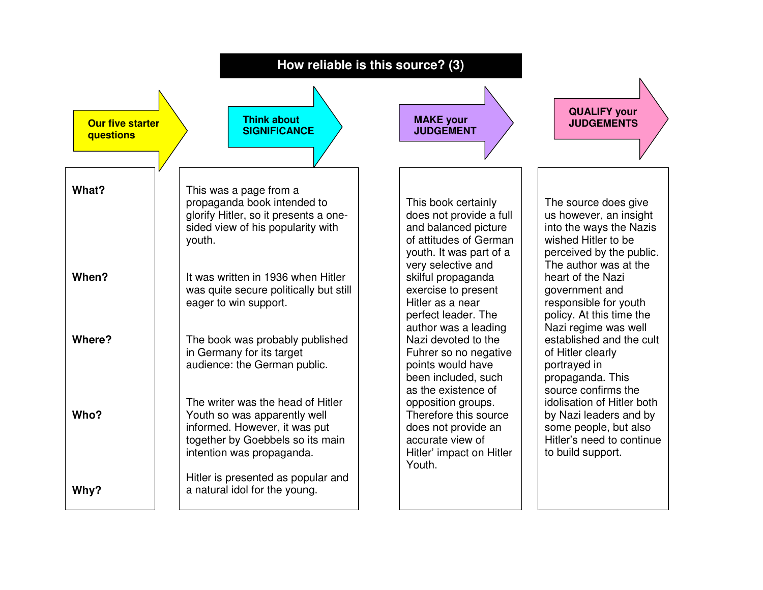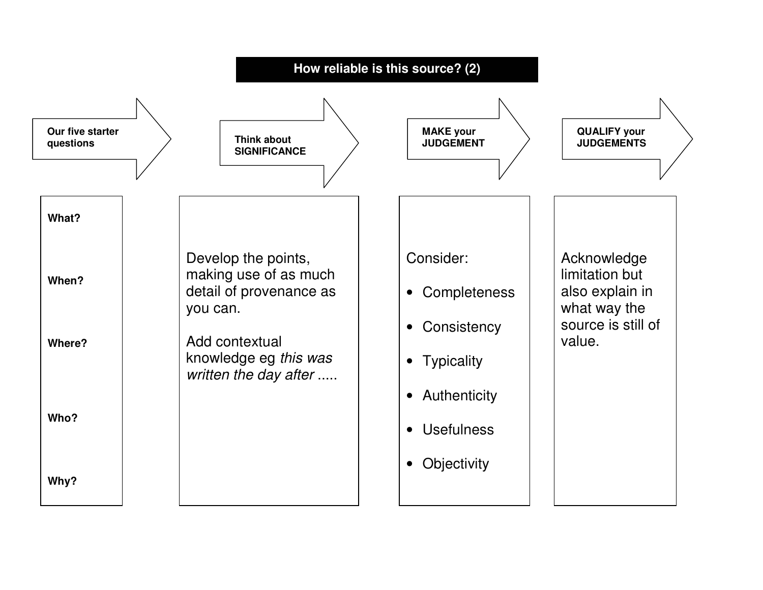